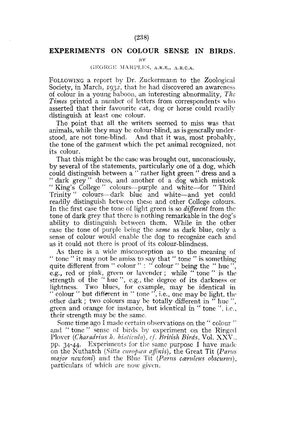## (238)

## **EXPERIMENTS ON COLOUR SENSE IN BIRDS.**

**BY** 

## GKORGK MARPLKS, A.R.E., A.R.C.A.

FOLLOWING a report by Dr. Zuckermann to the Zoological Society, in March, 1932, that he had discovered an awareness of colour in a young baboon, an interesting abnormality, *The Times* printed a number of letters from correspondents who asserted that their favourite cat, dog or horse could readily distinguish at least one colour.

The point that all the writers seemed to miss was that animals, while they may be colour-blind, as is generally understood, are not tone-blind. And that it was, most probably, the tone of the garment which the pet animal recognized, not its colour.

That this might be the case was brought out, unconsciously, by several of the statements, particularly one of a dog, which could distinguish between a "rather light green" dress and a " dark grey" dress, and another of a dog which mistook " King's College " colours—purple and white—for " Third Trinity" colours—dark blue and white—and yet could readily distinguish between these and other College colours. In the first case the tone of light green is so *different* from the tone of dark grey that there is nothing remarkable in the dog's ability to distinguish between them. While in the other case the tone of purple being the *same* as dark blue, only a sense of colour would enable the dog to recognize each and as it could not there is proof of its colour-blindness.

As there is a wide misconception as to the meaning of " tone " it may not be amiss to say that " tone " is something quite different from " colour " : " colour " being the " hue", e.g., red or pink, green or lavender; while " tone " is the strength of the " hue", e.g., the degree of its darkness or lightness. Two blues, for example, may be identical in " colour " but different in " tone ", i.e., one may be light, the other dark; two colours may be totally different in " hue", green and orange for instance, but identical in " tone ", i.e., their strength may be the same.

Some time ago I made certain observations on the " colour " and " tone " sense of birds by experiment on the Ringed Plover *{Charadrius h. hiaticula), cf. British Birds,* Vol. XXV., pp. 34-44. Experiments for the same purpose I have made on the Nuthatch *(Sitta europæa affinis)*, the Great Tit *(Parus major newtoni*) and the Blue Tit (Parus caruleus obscurus), particulars of which are now given.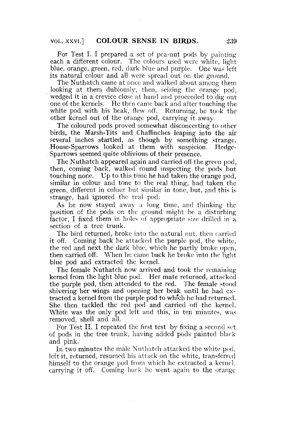For Test I. I prepared a set of pea-nut pods by painting each a different colour. The colours used were white, light blue, orange, green, red, dark blue and purple. One was left its natural colour and all were spread out on the ground.

The Nuthatch came at once and walked about among them looking at them dubiously, then, seizing the orange pod. wedged it in a crevice close at hand and proceeded to dig out one of the kernels. He then came back and after touching the white pod with his beak, flew off. Returning, he took the other kernel out of the orange pod, carrying it away.

The coloured pods proved somewhat disconcerting to other birds, the Marsh-Tits and Chaffinches leaping into the air several inches startled, as though by something strange. House-Sparrows looked at them with suspicion. Hedge-Sparrows seemed quite oblivious of their presence.

The Nuthatch appeared again and carried off the green pod, then, coming back, walked round inspecting the pods but touching none. Up to this time he had taken the orange pod, similar in colour and tone to the real thing, had taken the green, different in colour but similar in tone, but, and this is strange, had ignored the real pod.

As he now stayed away a long time, and thinking the position of the pods on the ground might be a disturbing factor, I fixed them in holes of appropriate size drilled in a section of a tree trunk.

The bird returned, broke into the natural nut, then carried it off. Coming back he attacked the purple pod, the white, the red and next the dark blue, which he partly broke open, then carried off. When he came back he broke into the light blue pod and extracted the kernel.

The female Nuthatch now arrived and took the remaining kernel from the light blue pod. Her mate returned, attacked the purple pod, then attended to the red. The female stood shivering her wings and opening her beak until he had extracted a kernel from the purple pod to whfch he had returned. She then tackled the red pod and carried off the kernel. White was the only pod left and this, in ten minutes, was removed, shell and all.

For Test II. I repeated the first test by fixing a second set of pods in the tree trunk, having added pods painted black and pink.

In two minutes the male Nuthatch attacked the white pod, left it, returned, resumed his attack on the white, transferred himself to the orange pod from which he extracted a kernel, carrying it off. Coming back he went again to the orange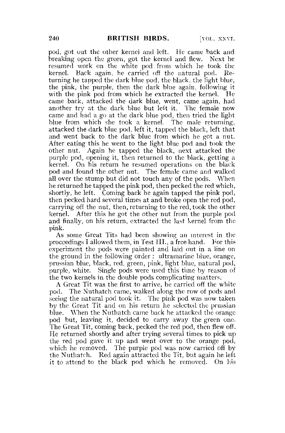pod, got out the other kernel and left. He came back and breaking open the green, got the kernel and flew. Next he resumed work on the white pod from which he took the kernel. Back again, he carried off the natural pod. Returning he tapped the dark blue pod, the black, the light blue, the pink, the purple, then the dark blue again, following it with the pink pod from which he extracted the kernel. He came back, attacked the dark blue, went, came again, had another try at the dark blue but left it. The female now came and had a go at the dark blue pod, then tried the light blue from which she took a kernel. The male returning, attacked the dark blue pod, left it, tapped the black, left that and went back to the dark blue from which he got a nut. After eating this he went to the light blue pod and took the other nut. Again he tapped the black, next attacked the purple pod, opening it, then returned to the black, getting a kernel. On his return he resumed operations on the black pod and found the other nut. The female came and walked all over the stump but did not touch any of the pods. When he returned he tapped the pink pod, then pecked the red which, shortly, he left. Coming back he again tapped the pink pod, then pecked hard several times at and broke open the red pod, carrying off the nut, then, returning to the red, took the other kernel. After this he got the other nut from the purple pod and finally, on his return, extracted the last kernel from the pink.

As some Great Tits had been showing an interest in the proceedings I allowed them, in Test **III.,** a free hand. For this experiment the pods were painted and laid out in a line on the ground in the following order : ultramarine blue, orange, prussian blue, black, red, green, pink, light blue, natural pod, purple, white. Single pods were used this time by reason of the two kernels in the double pods complicating matters.

A Great Tit was the first to arrive, he carried off the white pod. The Nuthatch came, walked along the row of pods and seeing the natural pod took it. The pink pod was now taken by the Great Tit and on his return he selected the prussian blue. When the Nuthatch came back he attacked the orange pod but, leaving it, decided to carry away the green one. The Great Tit, coming back, pecked the red pod, then flew off. He returned shortly and after trying several times to pick up the red pod gave it up and went over to the orange pod, which he removed. The purple pod was now carried off by the Nuthatch. Red again attracted the Tit, but again he left it to attend to the black pod which he removed. On his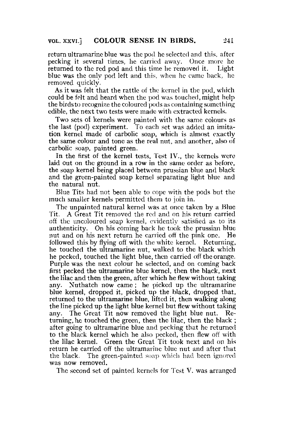return ultramarine blue was the pod he selected and this, after pecking it several times, he carried away. Once more he returned to the red pod and this time he removed it. Light blue was the only pod left and this, when he came back, he removed quickly.

As it was felt that the rattle of the kernel in the pod, which could be felt and heard when the pod was touched, might help the birdsto recognize the coloured pods as containing something edible, the next two tests were made with extracted kernels.

Two sets of kernels were painted with the same colours as the last (pod) experiment. To each set was added an imitation kernel made of carbolic soap, which is almost exactly the same colour and tone as the real nut, and another, also of carbolic soap, painted green.

In the first of the kernel tests, Test IV., the kernels were laid out on the ground in a row in the same order as before, the soap kernel being placed between prussian blue and black and the green-painted soap kernel separating light blue and the natural nut.

Blue Tits had not been able to cope with the pods but the much smaller kernels permitted them to join in.

The unpainted natural kernel was at once taken by a Blue Tit. A Great Tit removed the red and on his return carried off the uncoloured soap kernel, evidently satisfied as to its authenticity. On his coming back he took the prussian blue nut and on his next return he carried off the pink one. He followed this by flying off with the white kernel. Returning, he touched the ultramarine nut, walked to the black which he pecked, touched the light blue, then carried off the orange. Purple was the next colour he selected, and on coming back first pecked the ultramarine blue kernel, then the black, next the lilac and then the green, after which he flew without taking any. Nuthatch now came; he picked up the ultramarine blue kernel, dropped it, picked up the black, dropped that, returned to the ultramarine blue, lifted it, then walking along the line picked up the light blue kernel but flew without taking any. The Great Tit now removed the light blue nut. Returning, he touched the green, then the lilac, then the black ; after going to ultramarine blue and pecking that he returned to the black kernel which he also pecked, then flew off with the lilac kernel. Green the Great Tit took next and on his return he carried off the ultramarine blue nut and after that the black. The green-painted soap which had been ignored was now removed.

The second set of painted kernels for Test V. was arranged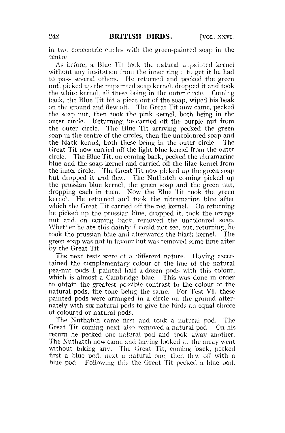in two concentric circles with the green-painted soap in the centre.

As before, a Blue Tit took the natural unpaintcd kernel without any hesitation from the inner ring ; to get it he had to pass several others. He returned and pecked the green nut, picked up the unpainted soap kernel, dropped it and took the white kernel, all these being in the outer circle. Coming back, the Blue Tit bit a piece out of the soap, wiped his beak on the ground and flew off. The Great Tit now came, pecked the soap nut, then took the pink kernel, both being in the outer circle. Returning, he carried off the purple nut from the outer circle. The Blue Tit arriving pecked the green soap in the centre of the circles, then the uncoloured soap and the black kernel, both these being in the outer circle. The Great Tit now carried off the light blue kernel from the outer circle. The Blue Tit, on coming back, pecked the ultramarine blue and the soap kernel and carried off the lilac kernel from the inner circle. The Great Tit now picked up the green soap but dropped it and flew. The Nuthatch coming picked up the prussian blue kernel, the green soap and the green nut, dropping each in turn. Now the Blue Tit took the green kernel. He returned and took the ultramarine blue after which the Great Tit carried off the red kernel. On returning he picked up the prussian blue, dropped it, took the orange nut and, on coming back, removed the uncoloured soap. Whether he ate this dainty I could not sec, but, returning, he took the prussian blue and afterwards the black kernel. The green soap was not in favour but was removed some time after by the Great Tit.

The next tests were of a different nature. Having ascertained the complementary colour of the hue of the natural pea-nut pods I painted half a dozen pods with this colour, which is almost a Cambridge blue. This was done in order to obtain the greatest possible contrast to the colour of the natural pods, the tone being the same. For Test VI. these painted pods were arranged in a circle on the ground alternately with six natural pods to give the birds an equal choice of coloured or natural pods.

The Nuthatch came first and took a natural pod. The Great Tit coming next also removed a natural pod. On his return he pecked one natural pod and took away another. The Nuthatch now came and having looked at the array went without taking any. The Great Tit, coming back, pecked first a blue pod, next a natural one, then flew off with a blue pod. Following this the Great Tit pecked a blue pod,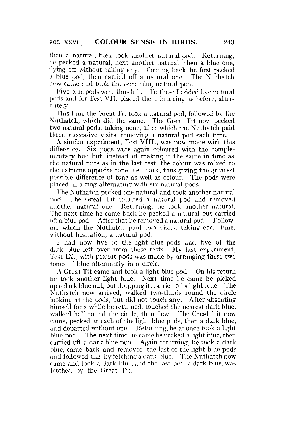then a natural, then took another natural pod. Returning, he pecked a natural, next another natural, then a blue one, flying off without taking any. Coming back, he first pecked a blue pod, then carried off a natural one. The Nuthatch now came and took the remaining natural pod.

Five blue pods were thus left. To these I added five natural pods and for Test VII. placed them in a ring as before, alternately.

This time the Great Tit took a natural pod, followed by the Nuthatch, which did the same. The Great Tit now pecked two natural pods, taking none, after which the Nuthatch paid three successive visits, removing a natural pod each time.

A similar experiment, Test VIII., was now made with this difference. Six pods were again coloured with the complementary hue but, instead of making it the same in tone as the natural nuts as in the last test, the colour was mixed to the extreme opposite tone, i.e., dark, thus giving the greatest possible difference of tone as well as colour. The pods were placed in a ring alternating with six natural pods.

The Nuthatch pecked one natural and took another natural pod. The Great Tit touched a natural pod and removed another natural one. Returning, he took another natural. The next time he came back be pecked a natural but carried off a blue pod. After that he removed a natural pod. Following which the Nuthatch paid two visits, taking each time, without hesitation, a natural pod.

I had now five of the light blue pods and five of the dark blue left over from these tests. My last experiment, Test IX., with peanut pods was made by arranging these two tones of blue alternately in a circle.

A Great Tit came and took a light blue pod. On his return he took another light blue. Next time he came he picked up a dark blue nut, but dropping it, carried off a light blue. The Nuthatch now arrived, walked two-thirds round the circle looking at the pods, but did not touch any. After absenting himself for a while he returned, touched the nearest dark blue, walked half round the circle, then flew. The Great Tit now came,, pecked at each of the light blue pods, then a dark blue, and departed without one. Returning, he at once took a light blue pod. The next time he came he pecked a light blue, then carried off a dark blue pod. Again returning, he took a dark blue, came back and removed the last of the light blue pods and followed this by fetching a dark blue. The Nuthatch now came and took a dark blue, and the last pod. a dark blue, was fetched bv the Great Tit.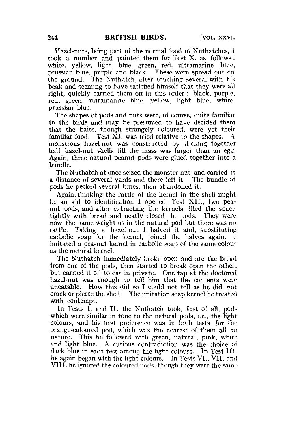Hazel-nuts, being part of the normal food of Nuthatches, I took a number and painted them for Test X. as follows : white, yellow, light blue, green, red, ultramarine blue, prussian blue, purple and black. These were spread out on the ground. The Nuthatch, after touching several with his beak and seeming to have satisfied himself that they were all right, quickly carried them off in this order: black, purple, red, green, ultramarine blue, yellow, light blue, white, prussian blue.

The shapes of pods and nuts were, of course, quite familiar to the birds and may be presumed to have decided them that the baits, though strangely coloured, were yet their familiar food. Test XI. was tried relative to the shapes. A monstrous hazel-nut was constructed by sticking together half hazel-nut shells till the mass was larger than an egg. Again, three natural peanut pods were glued together into a bundle.

The Nuthatch at once seized the monster nut and carried it a distance of several yards and there left it. The bundle of pods he pecked several times, then abandoned it.

Again, thinking the rattle of the kernel in the shell might be an aid to identification I opened, Test XII., two peanut pods, and after extracting the kernels filled the space tightly with bread and neatly closed the pods. They were now the same weight as in the natural pod but there was no rattle. Taking a hazel-nut I halved it and, substituting carbolic soap for the kernel, joined the halves again. imitated a pea-nut kernel in carbolic soap of the same colour as the natural kernel.

The Nuthatch immediately broke open and ate the bread from one of the pods, then started to break open the other, but carried it off to eat in private. One tap at the doctored hazel-nut was enough to tell him that the contents were uneatable. How this did so I could not tell as he did not crack or pierce the shell. The imitation soap kernel he treated with contempt.

In Tests I. and II. the Nuthatch took, first of all, podwhich were similar in tone to the natural pods, i.e., the light colours, and his first preference was, in both tests, for the orange-coloured pod, which was the nearest of them all to nature. This he followed with green, natural, pink, white: and light blue. A curious contradiction was the choice of dark blue in each test among the light colours. In Test III. he again began with the light colours. In Tests VI., VII. and VIII. he ignored the coloured pods, though they were the same